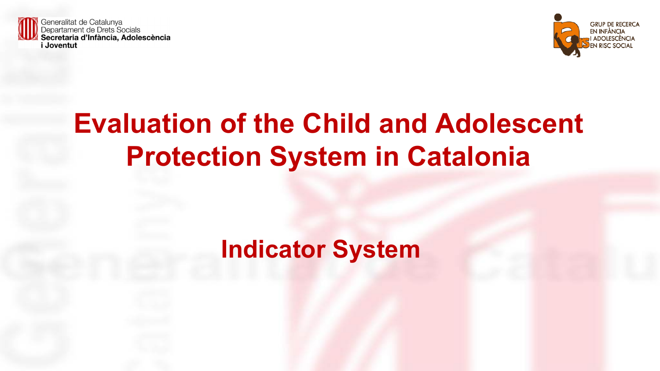



# **Evaluation of the Child and Adolescent Protection System in Catalonia**

## **Indicator System**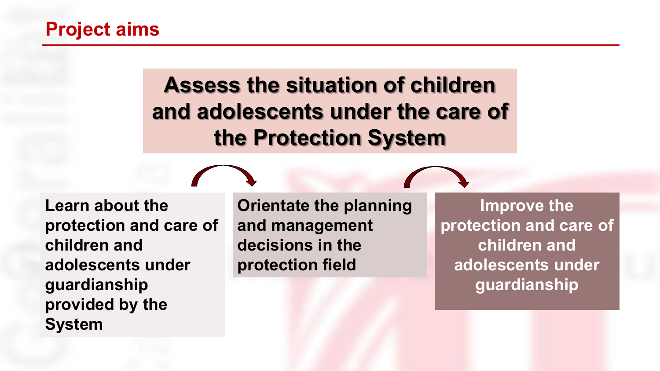### **Project aims**

## **Assess the situation of children and adolescents under the care of the Protection System**

**Learn about the protection and care of children and adolescents under guardianship provided by the System**

**Orientate the planning and management decisions in the protection field** 

**Improve the protection and care of children and adolescents under guardianship**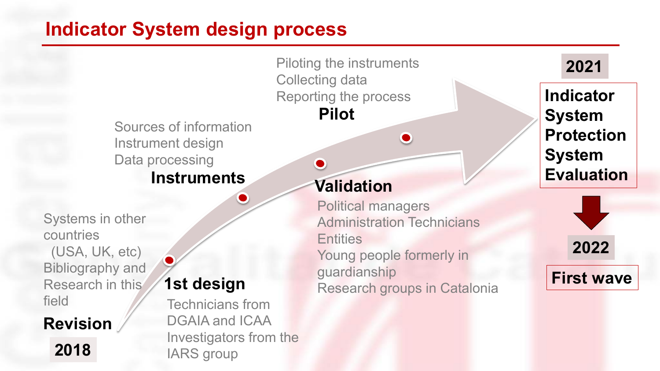## **Indicator System design process**

Sources of information Instrument design Data processing

### **Instruments**

Systems in other countries (USA, UK, etc) Bibliography and Research in this field

#### **Revision**

**2018**

## **1st design**

Technicians from DGAIA and ICAA Investigators from the IARS group

**Validation**

Collecting data

 $\bullet$ 

Reporting the process

**Pilot**

Political managers Administration Technicians **Entities** Young people formerly in guardianship Research groups in Catalonia

 $\bullet$ 

Piloting the instruments **2021**

**Indicator System Protection System Evaluation**

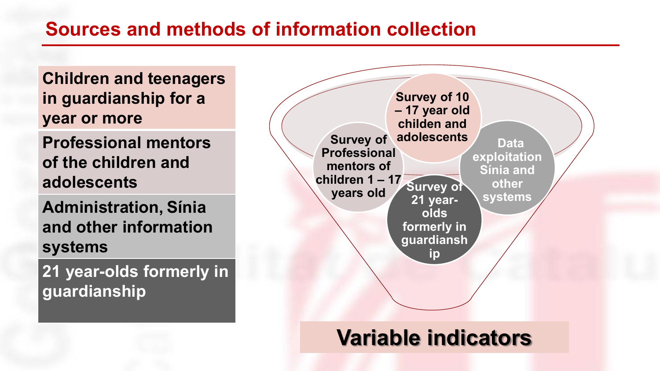### **Sources and methods of information collection**

**Children and teenagers in guardianship for a year or more**

**Professional mentors of the children and adolescents**

**Administration, Sínia and other information systems**

**21 year-olds formerly in guardianship**



## **Variable indicators**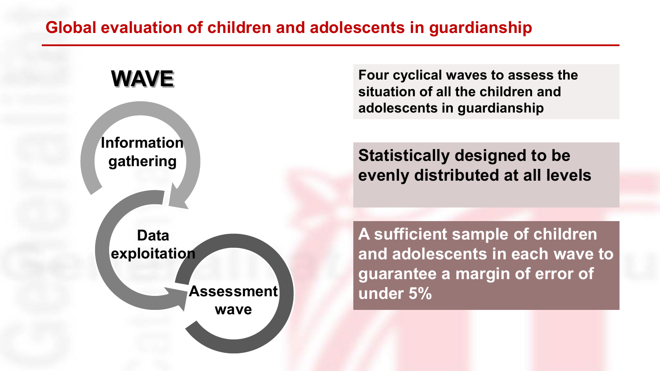#### **Global evaluation of children and adolescents in guardianship**



**Four cyclical waves to assess the situation of all the children and adolescents in guardianship**

**Statistically designed to be evenly distributed at all levels**

**A sufficient sample of children and adolescents in each wave to guarantee a margin of error of under 5%**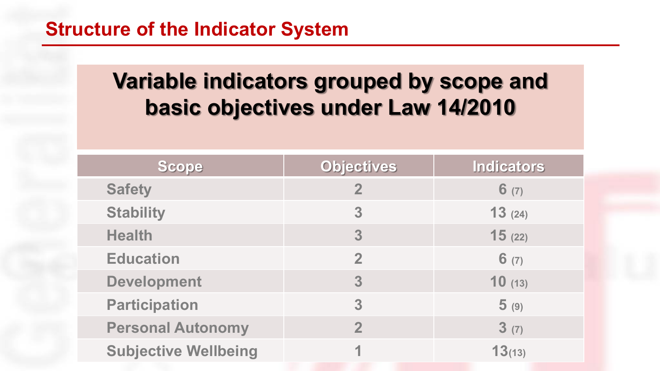## **Variable indicators grouped by scope and basic objectives under Law 14/2010**

| Scope                       | <b>Objectives</b> | <b>Indicators</b> |
|-----------------------------|-------------------|-------------------|
| <b>Safety</b>               | $\overline{2}$    | 6(7)              |
| <b>Stability</b>            | 3                 | 13(24)            |
| <b>Health</b>               | 3                 | 15(22)            |
| <b>Education</b>            | $\overline{2}$    | 6(7)              |
| <b>Development</b>          | 3                 | 10(13)            |
| <b>Participation</b>        | 3                 | 5(9)              |
| <b>Personal Autonomy</b>    | $\overline{2}$    | 3(7)              |
| <b>Subjective Wellbeing</b> |                   | 13(13)            |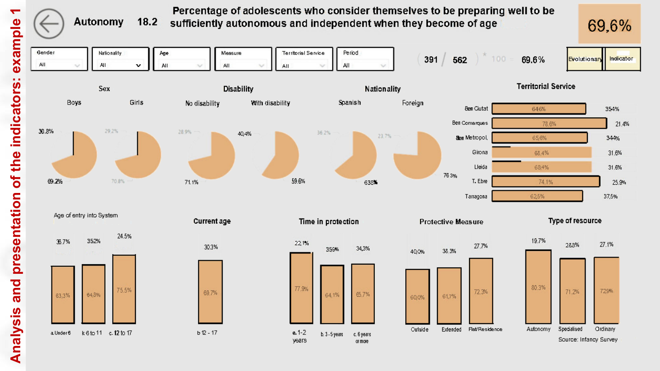